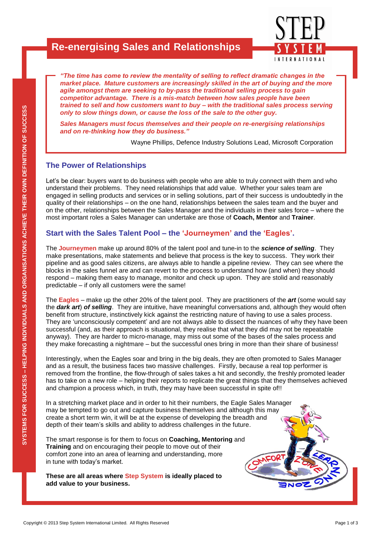## **Re-energising Sales and Relationships**



*"The time has come to review the mentality of selling to reflect dramatic changes in the market place. Mature customers are increasingly skilled in the art of buying and the more agile amongst them are seeking to by-pass the traditional selling process to gain competitor advantage. There is a mis-match between how sales people have been trained to sell and how customers want to buy – with the traditional sales process serving only to slow things down, or cause the loss of the sale to the other guy.* 

*Sales Managers must focus themselves and their people on re-energising relationships and on re-thinking how they do business."*

Wayne Phillips, Defence Industry Solutions Lead, Microsoft Corporation

#### **The Power of Relationships**

Let's be clear: buyers want to do business with people who are able to truly connect with them and who understand their problems. They need relationships that add value. Whether your sales team are engaged in selling products and services or in selling solutions, part of their success is undoubtedly in the quality of their relationships – on the one hand, relationships between the sales team and the buyer and on the other, relationships between the Sales Manager and the individuals in their sales force – where the most important roles a Sales Manager can undertake are those of **Coach, Mentor** and **Trainer**.

#### **Start with the Sales Talent Pool – the 'Journeymen' and the 'Eagles'.**

The **Journeymen** make up around 80% of the talent pool and tune-in to the *science of selling*. They make presentations, make statements and believe that process is the key to success. They work their pipeline and as good sales citizens, are always able to handle a pipeline review. They can see where the blocks in the sales funnel are and can revert to the process to understand how (and when) they should respond – making them easy to manage, monitor and check up upon. They are stolid and reasonably predictable – if only all customers were the same!

The **Eagles** – make up the other 20% of the talent pool. They are practitioners of the *art* (some would say the *dark art*) *of selling*. They are intuitive, have meaningful conversations and, although they would often benefit from structure, instinctively kick against the restricting nature of having to use a sales process. They are 'unconsciously competent' and are not always able to dissect the nuances of why they have been successful (and, as their approach is situational, they realise that what they did may not be repeatable anyway). They are harder to micro-manage, may miss out some of the bases of the sales process and they make forecasting a nightmare – but the successful ones bring in more than their share of business!

Interestingly, when the Eagles soar and bring in the big deals, they are often promoted to Sales Manager and as a result, the business faces two massive challenges. Firstly, because a real top performer is removed from the frontline, the flow-through of sales takes a hit and secondly, the freshly promoted leader has to take on a new role – helping their reports to replicate the great things that they themselves achieved and champion a process which, in truth, they may have been successful in spite of!!

The matrice copyright © 2013 Step System International Limited. All Rights Reserved<br>Copyright © 2013 Step System International Limited. All Rights Reserved<br>Copyright © 2013 Step System International Limited. All Rights Res In a stretching market place and in order to hit their numbers, the Eagle Sales Manager may be tempted to go out and capture business themselves and although this may create a short term win, it will be at the expense of developing the breadth and depth of their team's skills and ability to address challenges in the future.

The smart response is for them to focus on **Coaching, Mentoring** and **Training** and on encouraging their people to move out of their comfort zone into an area of learning and understanding, more in tune with today's market.

**These are all areas where Step System is ideally placed to add value to your business.**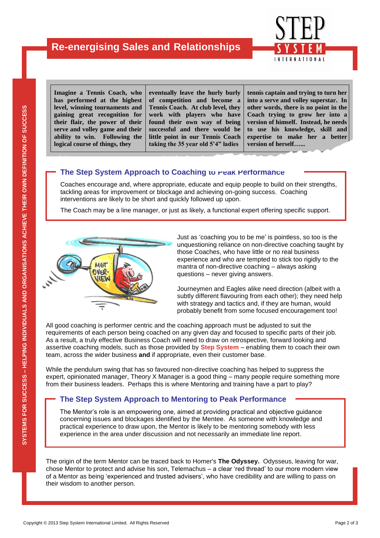

**Imagine a Tennis Coach, who has performed at the highest level, winning tournaments and gaining great recognition for their flair, the power of their serve and volley game and their ability to win. Following the logical course of things, they** 

**eventually leave the hurly burly of competition and become a Tennis Coach. At club level, they work with players who have found their own way of being successful and there would be little point in our Tennis Coach taking the 35 year old 5'4" ladies** 

**tennis captain and trying to turn her into a serve and volley superstar. In other words, there is no point in the Coach trying to grow her into a version of himself. Instead, he needs to use his knowledge, skill and expertise to make her a better version of herself…...** 

### **The Step System Approach to Coaching to reak Performance**

Coaches encourage and, where appropriate, educate and equip people to build on their strengths, tackling areas for improvement or blockage and achieving on-going success. Coaching interventions are likely to be short and quickly followed up upon.

The Coach may be a line manager, or just as likely, a functional expert offering specific support.



Just as 'coaching you to be me' is pointless, so too is the unquestioning reliance on non-directive coaching taught by those Coaches, who have little or no real business experience and who are tempted to stick too rigidly to the mantra of non-directive coaching – always asking questions – never giving answers.

Journeymen and Eagles alike need direction (albeit with a subtly different flavouring from each other); they need help with strategy and tactics and, if they are human, would probably benefit from some focused encouragement too!

All good coaching is performer centric and the coaching approach must be adjusted to suit the requirements of each person being coached on any given day and focused to specific parts of their job. As a result, a truly effective Business Coach will need to draw on retrospective, forward looking and assertive coaching models, such as those provided by **Step System** – enabling them to coach their own team, across the wider business **and** if appropriate, even their customer base.

While the pendulum swing that has so favoured non-directive coaching has helped to suppress the expert, opinionated manager, Theory X Manager is a good thing – many people require something more from their business leaders. Perhaps this is where Mentoring and training have a part to play?

#### **The Step System Approach to Mentoring to Peak Performance**

The Mentor's role is an empowering one, aimed at providing practical and objective guidance concerning issues and blockages identified by the Mentee. As someone with knowledge and practical experience to draw upon, the Mentor is likely to be mentoring somebody with less experience in the area under discussion and not necessarily an immediate line report.

expert, opinionated manager, Theory X Manager is a good thing – many people require something more<br>
from their business leaders. Perhaps this is where Mentoring and training have a part to play?<br>
The Step System Approach t The origin of the term Mentor can be traced back to Homer's **The Odyssey.** Odysseus, leaving for war, chose Mentor to protect and advise his son, Telemachus – a clear 'red thread' to our more modern view of a Mentor as being 'experienced and trusted advisers', who have credibility and are willing to pass on their wisdom to another person.